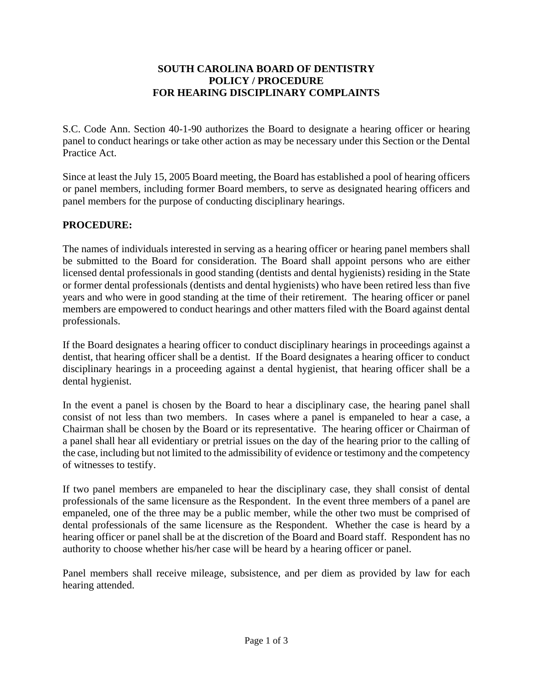## **SOUTH CAROLINA BOARD OF DENTISTRY POLICY / PROCEDURE FOR HEARING DISCIPLINARY COMPLAINTS**

S.C. Code Ann. Section 40-1-90 authorizes the Board to designate a hearing officer or hearing panel to conduct hearings or take other action as may be necessary under this Section or the Dental Practice Act.

Since at least the July 15, 2005 Board meeting, the Board has established a pool of hearing officers or panel members, including former Board members, to serve as designated hearing officers and panel members for the purpose of conducting disciplinary hearings.

# **PROCEDURE:**

The names of individuals interested in serving as a hearing officer or hearing panel members shall be submitted to the Board for consideration. The Board shall appoint persons who are either licensed dental professionals in good standing (dentists and dental hygienists) residing in the State or former dental professionals (dentists and dental hygienists) who have been retired less than five years and who were in good standing at the time of their retirement. The hearing officer or panel members are empowered to conduct hearings and other matters filed with the Board against dental professionals.

If the Board designates a hearing officer to conduct disciplinary hearings in proceedings against a dentist, that hearing officer shall be a dentist. If the Board designates a hearing officer to conduct disciplinary hearings in a proceeding against a dental hygienist, that hearing officer shall be a dental hygienist.

In the event a panel is chosen by the Board to hear a disciplinary case, the hearing panel shall consist of not less than two members. In cases where a panel is empaneled to hear a case, a Chairman shall be chosen by the Board or its representative. The hearing officer or Chairman of a panel shall hear all evidentiary or pretrial issues on the day of the hearing prior to the calling of the case, including but not limited to the admissibility of evidence or testimony and the competency of witnesses to testify.

If two panel members are empaneled to hear the disciplinary case, they shall consist of dental professionals of the same licensure as the Respondent. In the event three members of a panel are empaneled, one of the three may be a public member, while the other two must be comprised of dental professionals of the same licensure as the Respondent. Whether the case is heard by a hearing officer or panel shall be at the discretion of the Board and Board staff. Respondent has no authority to choose whether his/her case will be heard by a hearing officer or panel.

Panel members shall receive mileage, subsistence, and per diem as provided by law for each hearing attended.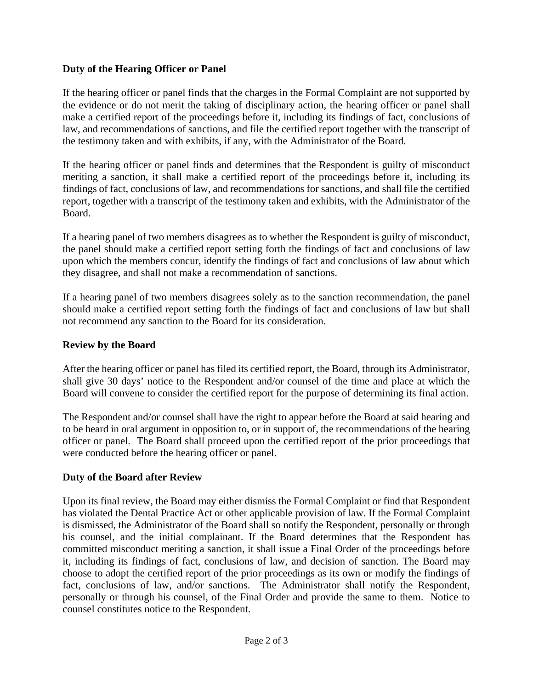# **Duty of the Hearing Officer or Panel**

If the hearing officer or panel finds that the charges in the Formal Complaint are not supported by the evidence or do not merit the taking of disciplinary action, the hearing officer or panel shall make a certified report of the proceedings before it, including its findings of fact, conclusions of law, and recommendations of sanctions, and file the certified report together with the transcript of the testimony taken and with exhibits, if any, with the Administrator of the Board.

If the hearing officer or panel finds and determines that the Respondent is guilty of misconduct meriting a sanction, it shall make a certified report of the proceedings before it, including its findings of fact, conclusions of law, and recommendations for sanctions, and shall file the certified report, together with a transcript of the testimony taken and exhibits, with the Administrator of the Board.

If a hearing panel of two members disagrees as to whether the Respondent is guilty of misconduct, the panel should make a certified report setting forth the findings of fact and conclusions of law upon which the members concur, identify the findings of fact and conclusions of law about which they disagree, and shall not make a recommendation of sanctions.

If a hearing panel of two members disagrees solely as to the sanction recommendation, the panel should make a certified report setting forth the findings of fact and conclusions of law but shall not recommend any sanction to the Board for its consideration.

# **Review by the Board**

After the hearing officer or panel has filed its certified report, the Board, through its Administrator, shall give 30 days' notice to the Respondent and/or counsel of the time and place at which the Board will convene to consider the certified report for the purpose of determining its final action.

The Respondent and/or counsel shall have the right to appear before the Board at said hearing and to be heard in oral argument in opposition to, or in support of, the recommendations of the hearing officer or panel. The Board shall proceed upon the certified report of the prior proceedings that were conducted before the hearing officer or panel.

### **Duty of the Board after Review**

Upon its final review, the Board may either dismiss the Formal Complaint or find that Respondent has violated the Dental Practice Act or other applicable provision of law. If the Formal Complaint is dismissed, the Administrator of the Board shall so notify the Respondent, personally or through his counsel, and the initial complainant. If the Board determines that the Respondent has committed misconduct meriting a sanction, it shall issue a Final Order of the proceedings before it, including its findings of fact, conclusions of law, and decision of sanction. The Board may choose to adopt the certified report of the prior proceedings as its own or modify the findings of fact, conclusions of law, and/or sanctions. The Administrator shall notify the Respondent, personally or through his counsel, of the Final Order and provide the same to them. Notice to counsel constitutes notice to the Respondent.